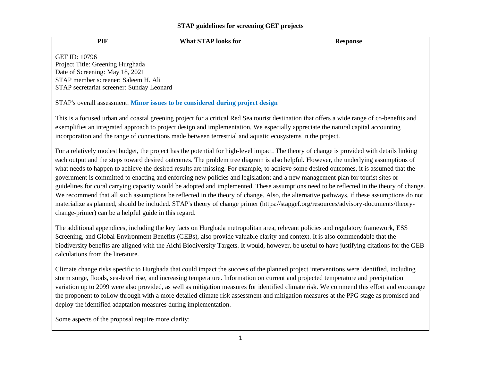| PIF                                                                                                                                                                                                                                                                                                                                                                                                                                                                                                                                                                                                                                                                                                                                                                                                                                                                                                                                                                                                                                                    | <b>What STAP looks for</b>                                                     | <b>Response</b> |
|--------------------------------------------------------------------------------------------------------------------------------------------------------------------------------------------------------------------------------------------------------------------------------------------------------------------------------------------------------------------------------------------------------------------------------------------------------------------------------------------------------------------------------------------------------------------------------------------------------------------------------------------------------------------------------------------------------------------------------------------------------------------------------------------------------------------------------------------------------------------------------------------------------------------------------------------------------------------------------------------------------------------------------------------------------|--------------------------------------------------------------------------------|-----------------|
| <b>GEF ID: 10796</b><br>Project Title: Greening Hurghada<br>Date of Screening: May 18, 2021<br>STAP member screener: Saleem H. Ali<br>STAP secretariat screener: Sunday Leonard                                                                                                                                                                                                                                                                                                                                                                                                                                                                                                                                                                                                                                                                                                                                                                                                                                                                        |                                                                                |                 |
|                                                                                                                                                                                                                                                                                                                                                                                                                                                                                                                                                                                                                                                                                                                                                                                                                                                                                                                                                                                                                                                        | STAP's overall assessment: Minor issues to be considered during project design |                 |
| This is a focused urban and coastal greening project for a critical Red Sea tourist destination that offers a wide range of co-benefits and<br>exemplifies an integrated approach to project design and implementation. We especially appreciate the natural capital accounting<br>incorporation and the range of connections made between terrestrial and aquatic ecosystems in the project.                                                                                                                                                                                                                                                                                                                                                                                                                                                                                                                                                                                                                                                          |                                                                                |                 |
| For a relatively modest budget, the project has the potential for high-level impact. The theory of change is provided with details linking<br>each output and the steps toward desired outcomes. The problem tree diagram is also helpful. However, the underlying assumptions of<br>what needs to happen to achieve the desired results are missing. For example, to achieve some desired outcomes, it is assumed that the<br>government is committed to enacting and enforcing new policies and legislation; and a new management plan for tourist sites or<br>guidelines for coral carrying capacity would be adopted and implemented. These assumptions need to be reflected in the theory of change.<br>We recommend that all such assumptions be reflected in the theory of change. Also, the alternative pathways, if these assumptions do not<br>materialize as planned, should be included. STAP's theory of change primer (https://stapgef.org/resources/advisory-documents/theory-<br>change-primer) can be a helpful guide in this regard. |                                                                                |                 |
| The additional appendices, including the key facts on Hurghada metropolitan area, relevant policies and regulatory framework, ESS<br>Screening, and Global Environment Benefits (GEBs), also provide valuable clarity and context. It is also commendable that the<br>biodiversity benefits are aligned with the Aichi Biodiversity Targets. It would, however, be useful to have justifying citations for the GEB<br>calculations from the literature.                                                                                                                                                                                                                                                                                                                                                                                                                                                                                                                                                                                                |                                                                                |                 |
| Climate change risks specific to Hurghada that could impact the success of the planned project interventions were identified, including<br>storm surge, floods, sea-level rise, and increasing temperature. Information on current and projected temperature and precipitation<br>variation up to 2099 were also provided, as well as mitigation measures for identified climate risk. We commend this effort and encourage<br>the proponent to follow through with a more detailed climate risk assessment and mitigation measures at the PPG stage as promised and<br>deploy the identified adaptation measures during implementation.                                                                                                                                                                                                                                                                                                                                                                                                               |                                                                                |                 |
| Some aspects of the proposal require more clarity:                                                                                                                                                                                                                                                                                                                                                                                                                                                                                                                                                                                                                                                                                                                                                                                                                                                                                                                                                                                                     |                                                                                |                 |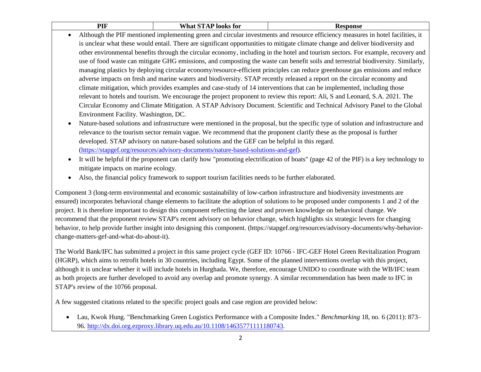| <b>DII</b><br>. | $\mathbf{X}$<br>$\sim$<br>, for<br>100KS<br>пач | Kesponse |
|-----------------|-------------------------------------------------|----------|
|-----------------|-------------------------------------------------|----------|

- Although the PIF mentioned implementing green and circular investments and resource efficiency measures in hotel facilities, it is unclear what these would entail. There are significant opportunities to mitigate climate change and deliver biodiversity and other environmental benefits through the circular economy, including in the hotel and tourism sectors. For example, recovery and use of food waste can mitigate GHG emissions, and composting the waste can benefit soils and terrestrial biodiversity. Similarly, managing plastics by deploying circular economy/resource-efficient principles can reduce greenhouse gas emissions and reduce adverse impacts on fresh and marine waters and biodiversity. STAP recently released a report on the circular economy and climate mitigation, which provides examples and case-study of 14 interventions that can be implemented, including those relevant to hotels and tourism. We encourage the project proponent to review this report: Ali, S and Leonard, S.A. 2021. The Circular Economy and Climate Mitigation. A STAP Advisory Document. Scientific and Technical Advisory Panel to the Global Environment Facility. Washington, DC.
	- Nature-based solutions and infrastructure were mentioned in the proposal, but the specific type of solution and infrastructure and relevance to the tourism sector remain vague. We recommend that the proponent clarify these as the proposal is further developed. STAP advisory on nature-based solutions and the GEF can be helpful in this regard. [\(https://stapgef.org/resources/advisory-documents/nature-based-solutions-and-gef\)](https://stapgef.org/resources/advisory-documents/nature-based-solutions-and-gef).
	- It will be helpful if the proponent can clarify how "promoting electrification of boats" (page 42 of the PIF) is a key technology to mitigate impacts on marine ecology.
	- Also, the financial policy framework to support tourism facilities needs to be further elaborated.

Component 3 (long-term environmental and economic sustainability of low-carbon infrastructure and biodiversity investments are ensured) incorporates behavioral change elements to facilitate the adoption of solutions to be proposed under components 1 and 2 of the project. It is therefore important to design this component reflecting the latest and proven knowledge on behavioral change. We recommend that the proponent review STAP's recent advisory on behavior change, which highlights six strategic levers for changing behavior, to help provide further insight into designing this component. (https://stapgef.org/resources/advisory-documents/why-behaviorchange-matters-gef-and-what-do-about-it).

The World Bank/IFC has submitted a project in this same project cycle (GEF ID: 10766 - IFC-GEF Hotel Green Revitalization Program (HGRP), which aims to retrofit hotels in 30 countries, including Egypt. Some of the planned interventions overlap with this project, although it is unclear whether it will include hotels in Hurghada. We, therefore, encourage UNIDO to coordinate with the WB/IFC team as both projects are further developed to avoid any overlap and promote synergy. A similar recommendation has been made to IFC in STAP's review of the 10766 proposal.

A few suggested citations related to the specific project goals and case region are provided below:

• Lau, Kwok Hung. "Benchmarking Green Logistics Performance with a Composite Index." *Benchmarking* 18, no. 6 (2011): 873– 96. [http://dx.doi.org.ezproxy.library.uq.edu.au/10.1108/14635771111180743.](http://dx.doi.org.ezproxy.library.uq.edu.au/10.1108/14635771111180743)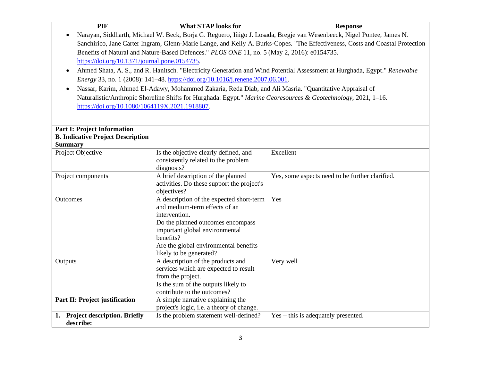| PIF                                                        | <b>What STAP looks for</b>                                                                                                    | <b>Response</b>                                                                                                           |  |
|------------------------------------------------------------|-------------------------------------------------------------------------------------------------------------------------------|---------------------------------------------------------------------------------------------------------------------------|--|
| $\bullet$                                                  | Narayan, Siddharth, Michael W. Beck, Borja G. Reguero, Iñigo J. Losada, Bregje van Wesenbeeck, Nigel Pontee, James N.         |                                                                                                                           |  |
|                                                            | Sanchirico, Jane Carter Ingram, Glenn-Marie Lange, and Kelly A. Burks-Copes. "The Effectiveness, Costs and Coastal Protection |                                                                                                                           |  |
|                                                            | Benefits of Natural and Nature-Based Defences." PLOS ONE 11, no. 5 (May 2, 2016): e0154735.                                   |                                                                                                                           |  |
| https://doi.org/10.1371/journal.pone.0154735.              |                                                                                                                               |                                                                                                                           |  |
| $\bullet$                                                  |                                                                                                                               | Ahmed Shata, A. S., and R. Hanitsch. "Electricity Generation and Wind Potential Assessment at Hurghada, Egypt." Renewable |  |
|                                                            | Energy 33, no. 1 (2008): 141-48. https://doi.org/10.1016/j.renene.2007.06.001.                                                |                                                                                                                           |  |
| $\bullet$                                                  | Nassar, Karim, Ahmed El-Adawy, Mohammed Zakaria, Reda Diab, and Ali Masria. "Quantitative Appraisal of                        |                                                                                                                           |  |
|                                                            |                                                                                                                               | Naturalistic/Anthropic Shoreline Shifts for Hurghada: Egypt." Marine Georesources & Geotechnology, 2021, 1-16.            |  |
| https://doi.org/10.1080/1064119X.2021.1918807.             |                                                                                                                               |                                                                                                                           |  |
|                                                            |                                                                                                                               |                                                                                                                           |  |
|                                                            |                                                                                                                               |                                                                                                                           |  |
| <b>Part I: Project Information</b>                         |                                                                                                                               |                                                                                                                           |  |
| <b>B. Indicative Project Description</b><br><b>Summary</b> |                                                                                                                               |                                                                                                                           |  |
| Project Objective                                          | Is the objective clearly defined, and                                                                                         | Excellent                                                                                                                 |  |
|                                                            | consistently related to the problem                                                                                           |                                                                                                                           |  |
|                                                            | diagnosis?                                                                                                                    |                                                                                                                           |  |
| Project components                                         | A brief description of the planned                                                                                            | Yes, some aspects need to be further clarified.                                                                           |  |
|                                                            | activities. Do these support the project's                                                                                    |                                                                                                                           |  |
|                                                            | objectives?                                                                                                                   |                                                                                                                           |  |
| Outcomes                                                   | A description of the expected short-term                                                                                      | Yes                                                                                                                       |  |
|                                                            | and medium-term effects of an<br>intervention.                                                                                |                                                                                                                           |  |
|                                                            | Do the planned outcomes encompass                                                                                             |                                                                                                                           |  |
|                                                            | important global environmental                                                                                                |                                                                                                                           |  |
|                                                            | benefits?                                                                                                                     |                                                                                                                           |  |
|                                                            | Are the global environmental benefits                                                                                         |                                                                                                                           |  |
|                                                            | likely to be generated?                                                                                                       |                                                                                                                           |  |
| Outputs                                                    | A description of the products and                                                                                             | Very well                                                                                                                 |  |
|                                                            | services which are expected to result                                                                                         |                                                                                                                           |  |
|                                                            | from the project.<br>Is the sum of the outputs likely to                                                                      |                                                                                                                           |  |
|                                                            | contribute to the outcomes?                                                                                                   |                                                                                                                           |  |
| Part II: Project justification                             | A simple narrative explaining the                                                                                             |                                                                                                                           |  |
|                                                            | project's logic, i.e. a theory of change.                                                                                     |                                                                                                                           |  |
| 1. Project description. Briefly                            | Is the problem statement well-defined?                                                                                        | $Yes - this is adequately presented.$                                                                                     |  |
| describe:                                                  |                                                                                                                               |                                                                                                                           |  |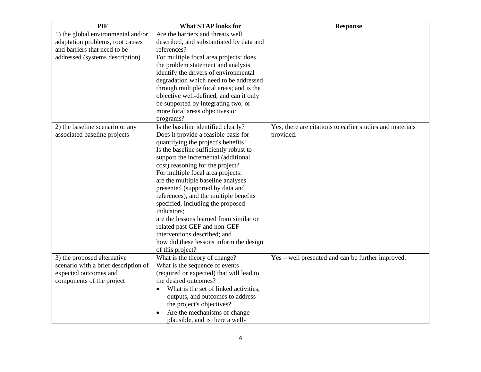| PIF                                  | <b>What STAP looks for</b>               | <b>Response</b>                                           |
|--------------------------------------|------------------------------------------|-----------------------------------------------------------|
| 1) the global environmental and/or   | Are the barriers and threats well        |                                                           |
| adaptation problems, root causes     | described, and substantiated by data and |                                                           |
| and barriers that need to be         | references?                              |                                                           |
| addressed (systems description)      | For multiple focal area projects: does   |                                                           |
|                                      | the problem statement and analysis       |                                                           |
|                                      | identify the drivers of environmental    |                                                           |
|                                      | degradation which need to be addressed   |                                                           |
|                                      | through multiple focal areas; and is the |                                                           |
|                                      | objective well-defined, and can it only  |                                                           |
|                                      | be supported by integrating two, or      |                                                           |
|                                      | more focal areas objectives or           |                                                           |
|                                      | programs?                                |                                                           |
| 2) the baseline scenario or any      | Is the baseline identified clearly?      | Yes, there are citations to earlier studies and materials |
| associated baseline projects         | Does it provide a feasible basis for     | provided.                                                 |
|                                      | quantifying the project's benefits?      |                                                           |
|                                      | Is the baseline sufficiently robust to   |                                                           |
|                                      | support the incremental (additional      |                                                           |
|                                      | cost) reasoning for the project?         |                                                           |
|                                      | For multiple focal area projects:        |                                                           |
|                                      | are the multiple baseline analyses       |                                                           |
|                                      | presented (supported by data and         |                                                           |
|                                      | references), and the multiple benefits   |                                                           |
|                                      | specified, including the proposed        |                                                           |
|                                      | indicators;                              |                                                           |
|                                      | are the lessons learned from similar or  |                                                           |
|                                      | related past GEF and non-GEF             |                                                           |
|                                      | interventions described; and             |                                                           |
|                                      | how did these lessons inform the design  |                                                           |
|                                      | of this project?                         |                                                           |
| 3) the proposed alternative          | What is the theory of change?            | Yes – well presented and can be further improved.         |
| scenario with a brief description of | What is the sequence of events           |                                                           |
| expected outcomes and                | (required or expected) that will lead to |                                                           |
| components of the project            | the desired outcomes?                    |                                                           |
|                                      | What is the set of linked activities,    |                                                           |
|                                      | outputs, and outcomes to address         |                                                           |
|                                      | the project's objectives?                |                                                           |
|                                      | Are the mechanisms of change             |                                                           |
|                                      | plausible, and is there a well-          |                                                           |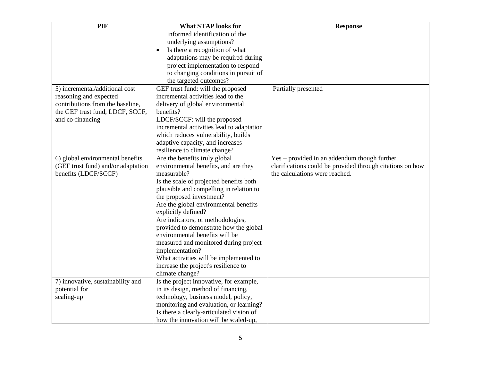| PIF                                | <b>What STAP looks for</b>                  | <b>Response</b>                                           |
|------------------------------------|---------------------------------------------|-----------------------------------------------------------|
|                                    | informed identification of the              |                                                           |
|                                    | underlying assumptions?                     |                                                           |
|                                    | Is there a recognition of what<br>$\bullet$ |                                                           |
|                                    | adaptations may be required during          |                                                           |
|                                    | project implementation to respond           |                                                           |
|                                    | to changing conditions in pursuit of        |                                                           |
|                                    | the targeted outcomes?                      |                                                           |
| 5) incremental/additional cost     | GEF trust fund: will the proposed           | Partially presented                                       |
| reasoning and expected             | incremental activities lead to the          |                                                           |
| contributions from the baseline,   | delivery of global environmental            |                                                           |
| the GEF trust fund, LDCF, SCCF,    | benefits?                                   |                                                           |
| and co-financing                   | LDCF/SCCF: will the proposed                |                                                           |
|                                    | incremental activities lead to adaptation   |                                                           |
|                                    | which reduces vulnerability, builds         |                                                           |
|                                    | adaptive capacity, and increases            |                                                           |
|                                    | resilience to climate change?               |                                                           |
| 6) global environmental benefits   | Are the benefits truly global               | Yes – provided in an addendum though further              |
| (GEF trust fund) and/or adaptation | environmental benefits, and are they        | clarifications could be provided through citations on how |
| benefits (LDCF/SCCF)               | measurable?                                 | the calculations were reached.                            |
|                                    | Is the scale of projected benefits both     |                                                           |
|                                    | plausible and compelling in relation to     |                                                           |
|                                    | the proposed investment?                    |                                                           |
|                                    | Are the global environmental benefits       |                                                           |
|                                    | explicitly defined?                         |                                                           |
|                                    | Are indicators, or methodologies,           |                                                           |
|                                    | provided to demonstrate how the global      |                                                           |
|                                    | environmental benefits will be              |                                                           |
|                                    | measured and monitored during project       |                                                           |
|                                    | implementation?                             |                                                           |
|                                    | What activities will be implemented to      |                                                           |
|                                    | increase the project's resilience to        |                                                           |
|                                    | climate change?                             |                                                           |
| 7) innovative, sustainability and  | Is the project innovative, for example,     |                                                           |
| potential for                      | in its design, method of financing,         |                                                           |
| scaling-up                         | technology, business model, policy,         |                                                           |
|                                    | monitoring and evaluation, or learning?     |                                                           |
|                                    | Is there a clearly-articulated vision of    |                                                           |
|                                    | how the innovation will be scaled-up,       |                                                           |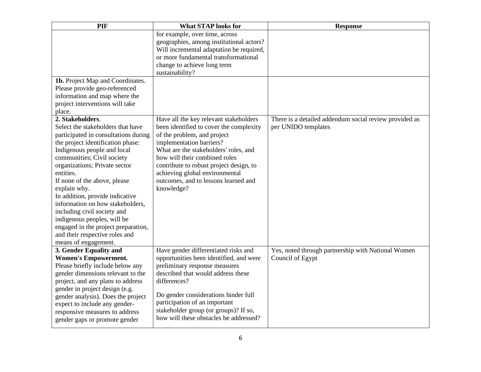| PIF                                                                   | <b>What STAP looks for</b>               | <b>Response</b>                                        |
|-----------------------------------------------------------------------|------------------------------------------|--------------------------------------------------------|
|                                                                       | for example, over time, across           |                                                        |
|                                                                       | geographies, among institutional actors? |                                                        |
|                                                                       | Will incremental adaptation be required, |                                                        |
|                                                                       | or more fundamental transformational     |                                                        |
|                                                                       | change to achieve long term              |                                                        |
|                                                                       | sustainability?                          |                                                        |
| 1b. Project Map and Coordinates.                                      |                                          |                                                        |
| Please provide geo-referenced                                         |                                          |                                                        |
| information and map where the                                         |                                          |                                                        |
| project interventions will take                                       |                                          |                                                        |
| place.                                                                |                                          |                                                        |
| 2. Stakeholders.                                                      | Have all the key relevant stakeholders   | There is a detailed addendum social review provided as |
| Select the stakeholders that have                                     | been identified to cover the complexity  | per UNIDO templates                                    |
| participated in consultations during                                  | of the problem, and project              |                                                        |
| the project identification phase:                                     | implementation barriers?                 |                                                        |
| Indigenous people and local                                           | What are the stakeholders' roles, and    |                                                        |
| communities; Civil society                                            | how will their combined roles            |                                                        |
| organizations; Private sector                                         | contribute to robust project design, to  |                                                        |
| entities.                                                             | achieving global environmental           |                                                        |
| If none of the above, please                                          | outcomes, and to lessons learned and     |                                                        |
| explain why.                                                          | knowledge?                               |                                                        |
| In addition, provide indicative                                       |                                          |                                                        |
| information on how stakeholders,                                      |                                          |                                                        |
| including civil society and                                           |                                          |                                                        |
| indigenous peoples, will be                                           |                                          |                                                        |
| engaged in the project preparation,<br>and their respective roles and |                                          |                                                        |
| means of engagement.                                                  |                                          |                                                        |
| 3. Gender Equality and                                                | Have gender differentiated risks and     | Yes, noted through partnership with National Women     |
| <b>Women's Empowerment.</b>                                           | opportunities been identified, and were  | Council of Egypt                                       |
| Please briefly include below any                                      | preliminary response measures            |                                                        |
| gender dimensions relevant to the                                     | described that would address these       |                                                        |
| project, and any plans to address                                     | differences?                             |                                                        |
| gender in project design (e.g.                                        |                                          |                                                        |
| gender analysis). Does the project                                    | Do gender considerations hinder full     |                                                        |
| expect to include any gender-                                         | participation of an important            |                                                        |
| responsive measures to address                                        | stakeholder group (or groups)? If so,    |                                                        |
| gender gaps or promote gender                                         | how will these obstacles be addressed?   |                                                        |
|                                                                       |                                          |                                                        |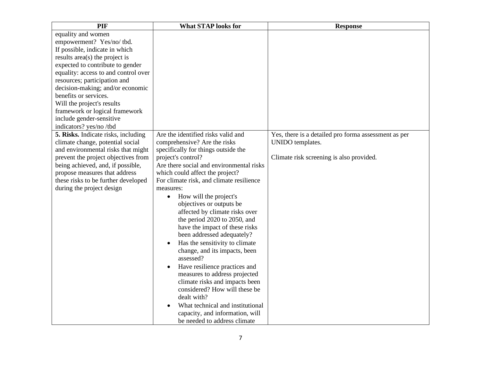| PIF                                  | <b>What STAP looks for</b>                  | <b>Response</b>                                      |
|--------------------------------------|---------------------------------------------|------------------------------------------------------|
| equality and women                   |                                             |                                                      |
| empowerment? Yes/no/tbd.             |                                             |                                                      |
| If possible, indicate in which       |                                             |                                                      |
| results area(s) the project is       |                                             |                                                      |
| expected to contribute to gender     |                                             |                                                      |
| equality: access to and control over |                                             |                                                      |
| resources; participation and         |                                             |                                                      |
| decision-making; and/or economic     |                                             |                                                      |
| benefits or services.                |                                             |                                                      |
| Will the project's results           |                                             |                                                      |
| framework or logical framework       |                                             |                                                      |
| include gender-sensitive             |                                             |                                                      |
| indicators? yes/no/tbd               |                                             |                                                      |
| 5. Risks. Indicate risks, including  | Are the identified risks valid and          | Yes, there is a detailed pro forma assessment as per |
| climate change, potential social     | comprehensive? Are the risks                | UNIDO templates.                                     |
| and environmental risks that might   | specifically for things outside the         |                                                      |
| prevent the project objectives from  | project's control?                          | Climate risk screening is also provided.             |
| being achieved, and, if possible,    | Are there social and environmental risks    |                                                      |
| propose measures that address        | which could affect the project?             |                                                      |
| these risks to be further developed  | For climate risk, and climate resilience    |                                                      |
| during the project design            | measures:                                   |                                                      |
|                                      | How will the project's<br>$\bullet$         |                                                      |
|                                      | objectives or outputs be                    |                                                      |
|                                      | affected by climate risks over              |                                                      |
|                                      | the period 2020 to 2050, and                |                                                      |
|                                      | have the impact of these risks              |                                                      |
|                                      | been addressed adequately?                  |                                                      |
|                                      | Has the sensitivity to climate<br>$\bullet$ |                                                      |
|                                      | change, and its impacts, been               |                                                      |
|                                      | assessed?                                   |                                                      |
|                                      | Have resilience practices and               |                                                      |
|                                      | measures to address projected               |                                                      |
|                                      | climate risks and impacts been              |                                                      |
|                                      | considered? How will these be               |                                                      |
|                                      | dealt with?                                 |                                                      |
|                                      | What technical and institutional            |                                                      |
|                                      | capacity, and information, will             |                                                      |
|                                      | be needed to address climate                |                                                      |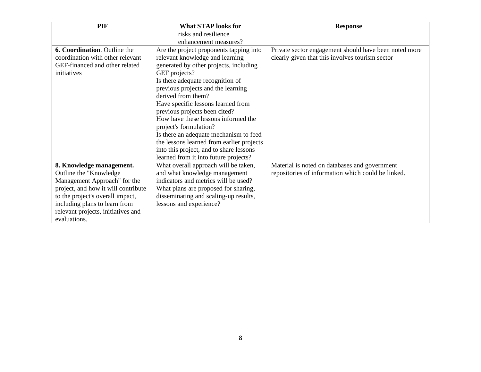| PIF                                 | <b>What STAP looks for</b>                | <b>Response</b>                                       |
|-------------------------------------|-------------------------------------------|-------------------------------------------------------|
|                                     | risks and resilience                      |                                                       |
|                                     | enhancement measures?                     |                                                       |
| 6. Coordination. Outline the        | Are the project proponents tapping into   | Private sector engagement should have been noted more |
| coordination with other relevant    | relevant knowledge and learning           | clearly given that this involves tourism sector       |
| GEF-financed and other related      | generated by other projects, including    |                                                       |
| initiatives                         | GEF projects?                             |                                                       |
|                                     | Is there adequate recognition of          |                                                       |
|                                     | previous projects and the learning        |                                                       |
|                                     | derived from them?                        |                                                       |
|                                     | Have specific lessons learned from        |                                                       |
|                                     | previous projects been cited?             |                                                       |
|                                     | How have these lessons informed the       |                                                       |
|                                     | project's formulation?                    |                                                       |
|                                     | Is there an adequate mechanism to feed    |                                                       |
|                                     | the lessons learned from earlier projects |                                                       |
|                                     | into this project, and to share lessons   |                                                       |
|                                     | learned from it into future projects?     |                                                       |
| 8. Knowledge management.            | What overall approach will be taken,      | Material is noted on databases and government         |
| Outline the "Knowledge"             | and what knowledge management             | repositories of information which could be linked.    |
| Management Approach" for the        | indicators and metrics will be used?      |                                                       |
| project, and how it will contribute | What plans are proposed for sharing,      |                                                       |
| to the project's overall impact,    | disseminating and scaling-up results,     |                                                       |
| including plans to learn from       | lessons and experience?                   |                                                       |
| relevant projects, initiatives and  |                                           |                                                       |
| evaluations.                        |                                           |                                                       |